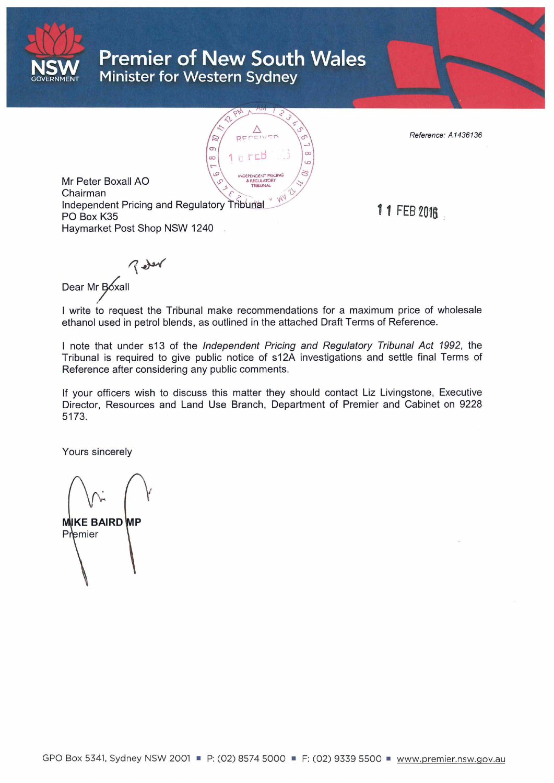

# **Premier of New South Wales Minister for Western Sydney**



Reference: A 1436136

Mr Peter Boxall AO Chairman Independent Pricing and Regulatory PO Box K35 Haymarket Post Shop NSW 1240

11 FEB 2018. :

 $7$  der Dear Mr Boxall

I write to request the Tribunal make recommendations for a maximum price of wholesale ethanol used in petrol blends, as outlined in the attached Draft Terms of Reference.

I note that under s13 of the Independent Pricing and Regulatory Tribunal Act 1992, the Tribunal is required to give public notice of s12A investigations and settle final Terms of Reference after considering any public comments.

If your officers wish to discuss this matter they should contact Liz Livingstone, Executive Director, Resources and Land Use Branch, Department of Premier and Cabinet on 9228 5173.

Yours sincerely

**MIKE BAIRD MP** Premier